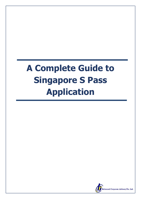# **A Complete Guide to Singapore S Pass Application**

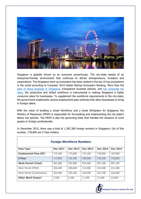

Singapore is globally known as an economic powerhouse. The city-state boasts of an enterprise-friendly environment that continues to attract entrepreneurs, investors and corporations. The Singapore start-up ecosystem has been ranked in the top 10 top ecosystems in the world according to Compass' 2015 Global Startup Ecosystem Ranking. More than the [ease of doing business in Singapore,](http://www.rbcrca.com.sg/management/ease-of-doing-business-in-singapore) transparent business policies, and low corporate tax [rates,](http://www.rbcrca.com.sg/management/quick-guide-to-corporate-tax-in-singapore-2016) the productive and skilled workforce is instrumental in making Singapore a highly conducive place for businesses. To supplement the workforce requirements in the city-state, the government implements various employment pass schemes that allow businesses to bring in foreign talent.

With the vision of building a *Great Workforce and a Great Workplace for Singapore*, the Ministry of Manpower (MOM) is responsible for formulating and implementing the city-state's labour law policies. The MOM is also the governing body that handles the issuance of work passes to foreign professionals.

In December 2015, there was a total of 1,387,300 foreign workers in Singapore. Out of this number, 178,600 are S Pass holders.

| <b>Pass Type</b>               | <b>Dec 2011</b> | <b>Dec 2012</b> | <b>Dec 2013</b> | <b>Dec 2014</b> | <b>Dec 2015</b> |
|--------------------------------|-----------------|-----------------|-----------------|-----------------|-----------------|
| <b>Employment Pass (EP)</b>    | 175,400         | 173,800         | 175,100         | 178,900         | 187,900         |
| <b>S</b> Pass                  | 113,900         | 142,400         | 160,900         | 170,100         | 178,600         |
| <b>Work Permit (Total)</b>     | 901,000         | 942,800         | 974,400         | 991,300         | 997,100         |
| Work Permit (FDW)              | 206,300         | 209,600         | 214,500         | 222,500         | 231,500         |
| Work Permit (Construction)     | 264,400         | 293,300         | 318,900         | 322,700         | 326,000         |
| Other Work Passes <sup>2</sup> | 7,600           | 9,300           | 11,300          | 15,400          | 23,600          |

#### **Foreign Workforce Numbers**

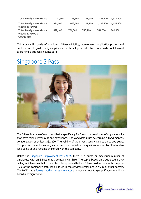| <b>Total Foreign Workforce</b> | 1,197,900 | 1,268,300 | 1,321,600 | 1,355,700 | 1,387,300 |
|--------------------------------|-----------|-----------|-----------|-----------|-----------|
| <b>Total Foreign Workforce</b> | 991,600   | 1,058,700 | 1,107,100 | 1,133,200 | 1,155,800 |
| (excluding FDWs)               |           |           |           |           |           |
| <b>Total Foreign Workforce</b> | 699,100   | 731,300   | 748,100   | 764,500   | 780,300   |
| (excluding FDWs &              |           |           |           |           |           |
| Construction)                  |           |           |           |           |           |

This article will provide information on S Pass eligibility, requirements, application process and card issuance to guide foreign applicants, local employers and entrepreneurs who look forward to starting a business in Singapore.

## Singapore S Pass



The S Pass is a type of work pass that is specifically for foreign professionals of any nationality that have middle level skills and experience. The candidate must be earning a fixed monthly compensation of at least S\$2,200. The validity of the S Pass usually ranges up to two years. The pass is renewable as long as the candidate satisfies the qualifications set by MOM and as long as he or she remains employed with the company.

Unlike the [Singapore Employment Pass \(EP\),](http://www.rbcrca.com.sg/management/a-guide-to-singapore-employment-pass-ep-2016) there is a quota or maximum number of employees with an S Pass that a company can hire. The cap is based on a sub-dependency ceiling which means that the number of employees that are S Pass holders must only comprise 15% of the company's total labour force in the services sector and 20% in all other sectors. The MOM has a [foreign worker quota calculator](http://www.mom.gov.sg/passes-and-permits/work-permit-for-foreign-worker/foreign-worker-levy/calculate-foreign-worker-quota) that you can use to gauge if you can still on board a foreign worker.

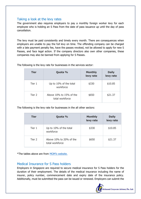#### Taking a look at the levy rates

The government also requires employers to pay a monthly foreign worker levy for each employee who is holding an S Pass from the date of pass issuance up until the day of pass cancellation.

The levy must be paid consistently and timely every month. There are consequences when employers are unable to pay the full levy on time. The offending company can be charged with a late payment penalty fee, have the passes revoked, not be allowed to apply for new S Passes, and face legal action. If the company directors also own other companies, these companies may also be banned from applying for S Passes.

| <b>Tier</b> | Quota %                                    | <b>Monthly</b><br>levy rate | <b>Daily</b><br>levy rate |
|-------------|--------------------------------------------|-----------------------------|---------------------------|
| Tier 1      | Up to 10% of the total<br>workforce        | \$330                       | \$10.85                   |
| Tier 2      | Above 10% to 15% of the<br>total workforce | \$650                       | \$21.37                   |

The following is the levy rate for businesses in the services sector:

The following is the levy rate for businesses in the all other sectors:

| <b>Tier</b> | Quota %                                    | <b>Monthly</b><br>levy rate | <b>Daily</b><br>levy rate |
|-------------|--------------------------------------------|-----------------------------|---------------------------|
| Tier 1      | Up to 10% of the total<br>workforce        | \$330                       | \$10.85                   |
| Tier 2      | Above 10% to 20% of the<br>total workforce | \$650                       | \$21.37                   |

\*The tables above are from [MOM's website.](http://www.mom.gov.sg/passes-and-permits/s-pass/quota-and-levy/levy-and-quota-requirements)

### Medical Insurance for S Pass holders

Employers in Singapore are required to secure medical insurance for S Pass holders for the duration of their employment. The details of the medical insurance including the name of insurer, policy number, commencement date and expiry date of the insurance policy. Additionally, must be submitted the pass can be issued or renewed. Employers can submit the

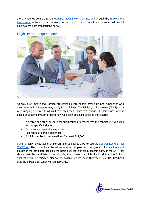aforementioned details through [Work Permit Online \(WP Online\)](http://www.mom.gov.sg/eservices/services/wp-online-for-businesses-and-employment-agencies) and through the *Employment* [Pass Online](http://www.mom.gov.sg/eservices/services/ep-online) website, more popularly known as EP Online, which serves as an all-around employment pass transactions portal.

#### Eligibility and Requirements



As previously mentioned, foreign professionals with middle level skills and experience who want to work in Singapore may apply for an S Pass. The Ministry of Manpower (MOM) has a wide-ranging criteria with which it evaluates each S Pass evaluations. The said assessment is based on a points system grading how well each applicant satisfies the criteria:

- A degree and other educational qualifications to reflect that the candidate is qualified for the specific industry;
- Technical and specialist expertise;
- Relevant skills and experience;
- A minimum fixed compensation of at least S\$2,200

MOM is highly encouraging employers and applicants alike to use the [Self-Assessment Tool](http://www.mom.gov.sg/eservices/services/employment-s-pass-self-assessment-tool)  [\(SAT Tool\).](http://www.mom.gov.sg/eservices/services/employment-s-pass-self-assessment-tool) The tool looks at the educational and employment background of a candidate and gauges if the candidate satisfies the basic qualifications for a specific pass. If the SAT Tool shows that the candidate is not eligible, then there is a high likelihood that the S Pass application will be rejected. Meanwhile, positive results mean that there is a 90% likelihood that the S Pass application will be approved.

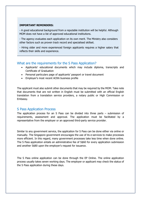#### **IMPORTANT REMINDERS:**

- A good educational background from a reputable institution will be helpful. Although MOM does not have a list of approved educational institutions.

- The agency evaluates each application on its own merit. The Ministry also considers other factors such as proven track record and specialised skillset.

- Hiring older and more experienced foreign applicants requires a higher salary that reflects their skills and experience.

#### What are the requirements for the S Pass Application?

- Applicants' educational documents which may include diploma, transcripts and Certificate of Graduation
- Personal particulars page of applicants' passport or travel document
- Employer's most recent ACRA business profile

The applicant must also submit other documents that may be required by the MOM. Take note that documents that are not written in English must be submitted with an official English translation from a translation service providers, a notary public or High Commission or Embassy.

#### S Pass Application Process

The application process for an S Pass can be divided into three parts – submission of requirements, assessment and approval. The application must be facilitated by a representative from the employer or an approved third-party service provider.

Similar to any government service, the application for S Pass can be done either via online or manually. The Singapore government encourages the use of its e-services to make processes more efficient. In this regard, many government processes take less time when done online. The S Pass application entails an administrative fee of S\$60 for every application submission and another S\$80 upon the employer's request for issuance.

The S Pass online application can be done through the EP Online. The online application process usually takes seven working days. The employer or applicant may check the status of the S Pass application during these days.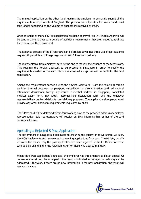The manual application on the other hand requires the employer to personally submit all the requirements at any branch of SingPost. The process normally takes five weeks and could take longer depending on the volume of applications received by MOM.

Once an online or manual S Pass application has been approved, an In-Principle Approval will be sent to the employer with details of additional requirements that are needed to facilitate the issuance of the S Pass card.

The issuance process of the S Pass card can be broken down into three vital steps: issuance request, fingerprints and image registration and S Pass card delivery.

The representative from employer must be the one to request the issuance of the S Pass card. This requires the foreign applicant to be present in Singapore in order to satisfy the requirements needed for the card. He or she must set an appointment at MOM for the card registration.

Among the requirements needed during the physical visit to MOM are the following: foreign applicant's travel document or passport, embarkation or disembarkation card, educational attainment documents, foreign applicant's residential address in Singapore, completed medical exam form, IPA letter, accomplished declaration form and the employer representative's contact details for card delivery purposes. The applicant and employer must provide any other additional requirements requested by MOM.

The S Pass card will be delivered within four working days to the provided address of employer representative. Said representative will receive an SMS informing him or her of the card delivery schedule.

#### Appealing a Rejected S Pass Application

The government of Singapore is dedicated to ensuring the quality of its workforce. As such, the MOM implements strict measures in screening applications for a pass. The Ministry usually indicates the reason why the pass application has been rejected in the EP Online for those who applied online and in the rejection letter for those who applied manually.

When the S Pass application is rejected, the employer has three months to file an appeal. Of course, one must only file an appeal if the reasons indicated in the rejection advisory can be addressed. Otherwise, if there are no new information in the pass application, the result will remain the same.